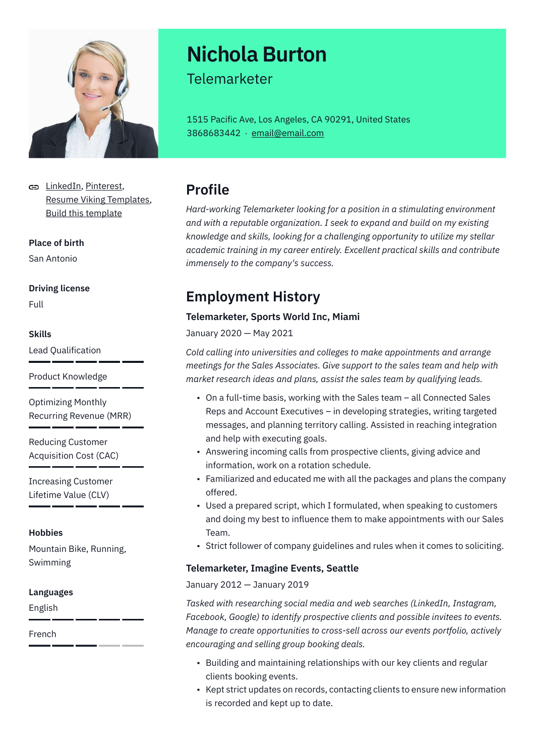

[LinkedIn](https://www.linkedin.com/), [Pinterest,](https://www.pinterest.es/resumeviking/) [Resume Viking Templates](https://www.resumeviking.com/templates/word/), [Build this template](https://resume.io/?id=cpdokyF1)

**Place of birth**

San Antonio

#### **Driving license**

Full

#### **Skills**

Lead Qualification

Product Knowledge

Optimizing Monthly Recurring Revenue (MRR)

Reducing Customer Acquisition Cost (CAC)

Increasing Customer Lifetime Value (CLV)

#### **Hobbies**

Mountain Bike, Running, Swimming

#### **Languages**

English

French

# **Nichola Burton**

### Telemarketer

1515 Pacific Ave, Los Angeles, CA 90291, United States 3868683442 · [email@email.com](mailto:email@email.com)

# **Profile**

*Hard-working Telemarketer looking for a position in a stimulating environment and with a reputable organization. I seek to expand and build on my existing knowledge and skills, looking for a challenging opportunity to utilize my stellar academic training in my career entirely. Excellent practical skills and contribute immensely to the company's success.*

# **Employment History**

#### **Telemarketer, Sports World Inc, Miami**

January 2020 — May 2021

*Cold calling into universities and colleges to make appointments and arrange meetings for the Sales Associates. Give support to the sales team and help with market research ideas and plans, assist the sales team by qualifying leads.*

- On a full-time basis, working with the Sales team all Connected Sales Reps and Account Executives – in developing strategies, writing targeted messages, and planning territory calling. Assisted in reaching integration and help with executing goals.
- Answering incoming calls from prospective clients, giving advice and information, work on a rotation schedule.
- Familiarized and educated me with all the packages and plans the company offered.
- Used a prepared script, which I formulated, when speaking to customers and doing my best to influence them to make appointments with our Sales Team.
- Strict follower of company guidelines and rules when it comes to soliciting.

#### **Telemarketer, Imagine Events, Seattle**

#### January 2012 — January 2019

*Tasked with researching social media and web searches (LinkedIn, Instagram, Facebook, Google) to identify prospective clients and possible invitees to events. Manage to create opportunities to cross-sell across our events portfolio, actively encouraging and selling group booking deals.*

- Building and maintaining relationships with our key clients and regular clients booking events.
- Kept strict updates on records, contacting clients to ensure new information is recorded and kept up to date.